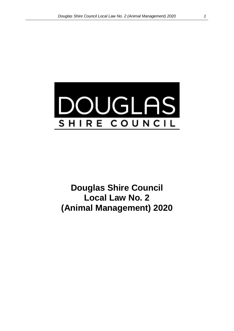

**Douglas Shire Council Local Law No. 2 (Animal Management) 2020**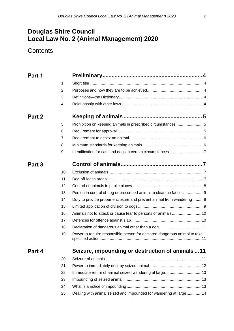# **Douglas Shire Council Local Law No. 2 (Animal Management) 2020**

# **Contents**

| Part 1 |    |                                                                           |  |
|--------|----|---------------------------------------------------------------------------|--|
|        | 1  |                                                                           |  |
|        | 2  |                                                                           |  |
|        | 3  |                                                                           |  |
|        | 4  |                                                                           |  |
| Part 2 |    |                                                                           |  |
|        | 5  | Prohibition on keeping animals in prescribed circumstances 5              |  |
|        | 6  |                                                                           |  |
|        | 7  |                                                                           |  |
|        | 8  |                                                                           |  |
|        | 9  |                                                                           |  |
| Part 3 |    |                                                                           |  |
|        | 10 |                                                                           |  |
|        | 11 |                                                                           |  |
|        | 12 |                                                                           |  |
|        | 13 | Person in control of dog or prescribed animal to clean up faeces 9        |  |
|        | 14 | Duty to provide proper enclosure and prevent animal from wandering9       |  |
|        | 15 |                                                                           |  |
|        | 16 | Animals not to attack or cause fear to persons or animals10               |  |
|        | 17 |                                                                           |  |
|        | 18 |                                                                           |  |
|        | 19 | Power to require responsible person for declared dangerous animal to take |  |
| Part 4 |    | Seizure, impounding or destruction of animals 11                          |  |
|        | 20 |                                                                           |  |
|        | 21 |                                                                           |  |
|        | 22 |                                                                           |  |
|        | 23 |                                                                           |  |
|        | 24 |                                                                           |  |
|        | 25 | Dealing with animal seized and impounded for wandering at large  14       |  |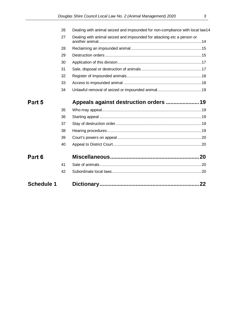| <b>Schedule 1</b> |    | 22                                                                           |  |
|-------------------|----|------------------------------------------------------------------------------|--|
|                   | 42 |                                                                              |  |
|                   | 41 |                                                                              |  |
| Part 6            |    |                                                                              |  |
|                   | 40 |                                                                              |  |
|                   | 39 |                                                                              |  |
|                   | 38 |                                                                              |  |
|                   | 37 |                                                                              |  |
|                   | 36 |                                                                              |  |
|                   | 35 |                                                                              |  |
| Part 5            |    |                                                                              |  |
|                   | 34 |                                                                              |  |
|                   | 33 |                                                                              |  |
|                   | 32 |                                                                              |  |
|                   | 31 |                                                                              |  |
|                   | 30 |                                                                              |  |
|                   | 29 |                                                                              |  |
|                   | 28 |                                                                              |  |
|                   | 27 | Dealing with animal seized and impounded for attacking etc a person or       |  |
|                   | 26 | Dealing with animal seized and impounded for non-compliance with local law14 |  |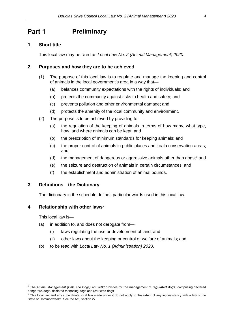#### <span id="page-3-1"></span><span id="page-3-0"></span>Part 1 **Preliminary**

## **1 Short title**

This local law may be cited as *Local Law No. 2 (Animal Management) 2020*.

## <span id="page-3-2"></span>**2 Purposes and how they are to be achieved**

- (1) The purpose of this local law is to regulate and manage the keeping and control of animals in the local government's area in a way that—
	- (a) balances community expectations with the rights of individuals; and
	- (b) protects the community against risks to health and safety; and
	- (c) prevents pollution and other environmental damage; and
	- (d) protects the amenity of the local community and environment.
- (2) The purpose is to be achieved by providing for—
	- (a) the regulation of the keeping of animals in terms of how many, what type, how, and where animals can be kept; and
	- (b) the prescription of minimum standards for keeping animals; and
	- (c) the proper control of animals in public places and koala conservation areas; and
	- (d) the management of dangerous or aggressive animals other than dogs; [1](#page-3-5) and
	- (e) the seizure and destruction of animals in certain circumstances; and
	- (f) the establishment and administration of animal pounds.

### <span id="page-3-3"></span>**3 Definitions—the Dictionary**

The dictionary in the schedule defines particular words used in this local law.

### <span id="page-3-4"></span>**4 Relationship with other laws[2](#page-3-6)**

This local law is—

- (a) in addition to, and does not derogate from—
	- (i) laws regulating the use or development of land; and
	- (ii) other laws about the keeping or control or welfare of animals; and
- (b) to be read with *Local Law No. 1 (Administration) 2020*.

<span id="page-3-5"></span><sup>1</sup> The *Animal Management (Cats and Dogs) Act 2008* provides for the management of *regulated dogs*, comprising declared dangerous dogs, declared menacing dogs and restricted dogs

<span id="page-3-6"></span><sup>&</sup>lt;sup>2</sup> This local law and any subordinate local law made under it do not apply to the extent of any inconsistency with a law of the State or Commonwealth. See the Act, section 27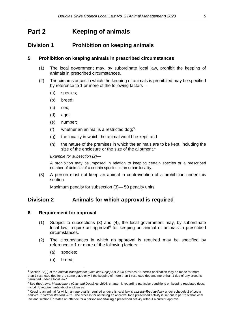#### <span id="page-4-0"></span>Part 2 **Keeping of animals**

## <span id="page-4-1"></span>**Division 1 Prohibition on keeping animals**

## **5 Prohibition on keeping animals in prescribed circumstances**

- (1) The local government may, by subordinate local law, prohibit the keeping of animals in prescribed circumstances.
- (2) The circumstances in which the keeping of animals is prohibited may be specified by reference to 1 or more of the following factors—
	- (a) species;
	- (b) breed;
	- (c) sex;
	- (d) age;
	- (e) number;
	- (f) whether an animal is a restricted dog;  $3^3$  $3^3$
	- (g) the locality in which the animal would be kept; and
	- (h) the nature of the premises in which the animals are to be kept, including the size of the enclosure or the size of the allotment.<sup>[4](#page-4-4)</sup>

*Example for subsection (2)—*

A prohibition may be imposed in relation to keeping certain species or a prescribed number of animals of a certain species in an urban locality.

(3) A person must not keep an animal in contravention of a prohibition under this section.

Maximum penalty for subsection (3)— 50 penalty units.

## <span id="page-4-2"></span>**Division 2 Animals for which approval is required**

### **6 Requirement for approval**

- (1) Subject to subsections (3) and (4), the local government may, by subordinate local law, require an approval<sup>[5](#page-4-5)</sup> for keeping an animal or animals in prescribed circumstances.
- (2) The circumstances in which an approval is required may be specified by reference to 1 or more of the following factors—
	- (a) species;
	- (b) breed;

<span id="page-4-3"></span> $\overline{a}$ <sup>3</sup> Section 72(3) of the *Animal Management (Cats and Dogs) Act 2008* provides: "A permit application may be made for more than 1 restricted dog for the same place only if the keeping of more than 1 restricted dog and more than 1 dog of any breed is permitted under a local law."

<span id="page-4-4"></span><sup>4</sup> See the *Animal Management (Cats and Dogs) Act 2008*, chapter 4, regarding particular conditions on keeping regulated dogs, including requirements about enclosures

<span id="page-4-5"></span><sup>5</sup> Keeping an animal for which an approval is required under this local law is a *prescribed activity* under schedule 2 of *Local Law No. 1 (Administration) 2011*. The process for obtaining an approval for a prescribed activity is set out in part 2 of that local law and section 6 creates an offence for a person undertaking a prescribed activity without a current approval.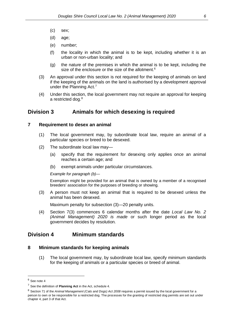- (c) sex;
- (d) age;
- (e) number;
- (f) the locality in which the animal is to be kept, including whether it is an urban or non-urban locality; and
- (g) the nature of the premises in which the animal is to be kept, including the size of the enclosure or the size of the allotment.<sup>[6](#page-5-2)</sup>
- (3) An approval under this section is not required for the keeping of animals on land if the keeping of the animals on the land is authorised by a development approval under the Planning Act.<sup>[7](#page-5-3)</sup>
- (4) Under this section, the local government may not require an approval for keeping a restricted dog.<sup>[8](#page-5-4)</sup>

## <span id="page-5-0"></span>**Division 3 Animals for which desexing is required**

#### **7 Requirement to desex an animal**

- (1) The local government may, by subordinate local law, require an animal of a particular species or breed to be desexed.
- (2) The subordinate local law may—
	- (a) specify that the requirement for desexing only applies once an animal reaches a certain age; and
	- (b) exempt animals under particular circumstances.

*Example for paragraph (b)—*

Exemption might be provided for an animal that is owned by a member of a recognised breeders' association for the purposes of breeding or showing.

(3) A person must not keep an animal that is required to be desexed unless the animal has been desexed.

Maximum penalty for subsection (3)—20 penalty units.

(4) Section 7(3) commences 6 calendar months after the date *Local Law No. 2 (Animal Management) 2020 is made* or such longer period as the local government decides by resolution*.* 

## <span id="page-5-1"></span>**Division 4 Minimum standards**

### **8 Minimum standards for keeping animals**

(1) The local government may, by subordinate local law, specify minimum standards for the keeping of animals or a particular species or breed of animal.

<span id="page-5-2"></span> $6$  See note 4

<span id="page-5-3"></span><sup>7</sup> See the definition of **Planning Act** in the Act, schedule 4.

<span id="page-5-4"></span><sup>8</sup> Section 71 of the *Animal Management (Cats and Dogs) Act 2008* requires a permit issued by the local government for a person to own or be responsible for a restricted dog. The processes for the granting of restricted dog permits are set out under chapter 4, part 3 of that Act.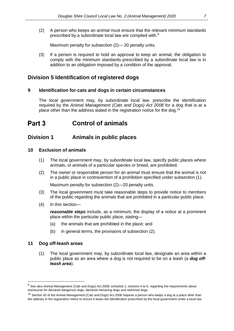(2) A person who keeps an animal must ensure that the relevant minimum standards prescribed by a subordinate local law are complied with.[9](#page-6-4)

Maximum penalty for subsection (2)— 20 penalty units.

(3) If a person is required to hold an approval to keep an animal, the obligation to comply with the minimum standards prescribed by a subordinate local law is in addition to an obligation imposed by a condition of the approval.

## <span id="page-6-0"></span>**Division 5 Identification of registered dogs**

## **9 Identification for cats and dogs in certain circumstances**

The local government may, by subordinate local law, prescribe the identification required by the *Animal Management (Cats and Dogs) Act 2008* for a dog that is at a place other than the address stated in the registration notice for the dog.<sup>[10](#page-6-5)</sup>

#### <span id="page-6-1"></span>Part 3 **Control of animals**

## <span id="page-6-2"></span>**Division 1 Animals in public places**

## **10 Exclusion of animals**

- (1) The local government may, by subordinate local law, specify public places where animals, or animals of a particular species or breed, are prohibited.
- (2) The owner or responsible person for an animal must ensure that the animal is not in a public place in contravention of a prohibition specified under subsection (1).

Maximum penalty for subsection (2)—20 penalty units.

- (3) The local government must take reasonable steps to provide notice to members of the public regarding the animals that are prohibited in a particular public place.
- (4) In this section—

*reasonable steps* include, as a minimum, the display of a notice at a prominent place within the particular public place, stating—

- (a) the animals that are prohibited in the place; and
- (b) in general terms, the provisions of subsection (2).

### <span id="page-6-3"></span>**11 Dog off-leash areas**

 $\overline{a}$ 

(1) The local government may, by subordinate local law, designate an area within a public place as an area where a dog is not required to be on a leash (a *dog offleash area*).

<span id="page-6-4"></span><sup>9</sup> See also *Animal Management (Cats and Dogs) Act 2008*, schedule 1, sections 4 to 5, regarding the requirements about enclosures for declared dangerous dogs, declared menacing dogs and restricted dogs.

<span id="page-6-5"></span><sup>10</sup> Section 45 of the *Animal Management (Cats and Dogs) Act 2008* requires a person who keeps a dog at a place other than the address in the registration notice to ensure it bears the identification prescribed by the local government under a local law.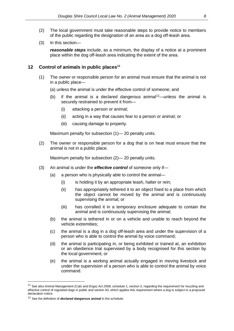- (2) The local government must take reasonable steps to provide notice to members of the public regarding the designation of an area as a dog off-leash area.
- (3) In this section—

*reasonable steps* include, as a minimum, the display of a notice at a prominent place within the dog off-leash area indicating the extent of the area.

#### <span id="page-7-0"></span>**12 Control of animals in public place[s11](#page-7-1)**

- (1) The owner or responsible person for an animal must ensure that the animal is not in a public place—
	- (a) unless the animal is under the effective control of someone; and
	- (b) if the animal is a declared dangerous animal<sup>[12](#page-7-2)</sup>—unless the animal is securely restrained to prevent it from—
		- (i) attacking a person or animal;
		- (ii) acting in a way that causes fear to a person or animal; or
		- (iii) causing damage to property.

Maximum penalty for subsection (1)—20 penalty units.

(2) The owner or responsible person for a dog that is on heat must ensure that the animal is not in a public place.

Maximum penalty for subsection (2)—20 penalty units.

- (3) An animal is under the *effective control* of someone only if—
	- (a) a person who is physically able to control the animal—
		- (i) is holding it by an appropriate leash, halter or rein;
		- (ii) has appropriately tethered it to an object fixed to a place from which the object cannot be moved by the animal and is continuously supervising the animal; or
		- (iii) has corralled it in a temporary enclosure adequate to contain the animal and is continuously supervising the animal;
	- (b) the animal is tethered in or on a vehicle and unable to reach beyond the vehicle extremities;
	- (c) the animal is a dog in a dog off-leash area and under the supervision of a person who is able to control the animal by voice command;
	- (d) the animal is participating in, or being exhibited or trained at, an exhibition or an obedience trial supervised by a body recognised for this section by the local government; or
	- (e) the animal is a working animal actually engaged in moving livestock and under the supervision of a person who is able to control the animal by voice command.

<span id="page-7-1"></span><sup>11</sup> See also *Animal Management (Cats and Dogs) Act 2008*, schedule 1, section 3, regarding the requirement for muzzling and effective control of regulated dogs in public and section 93, which applies this requirement where a dog is subject to a proposed declaration notice.

<span id="page-7-2"></span><sup>12</sup> See the definition of *declared dangerous animal* in the schedule.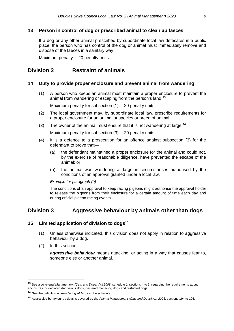## <span id="page-8-0"></span>**13 Person in control of dog or prescribed animal to clean up faeces**

If a dog or any other animal prescribed by subordinate local law defecates in a public place, the person who has control of the dog or animal must immediately remove and dispose of the faeces in a sanitary way.

Maximum penalty— 20 penalty units.

# <span id="page-8-1"></span>**Division 2 Restraint of animals**

## **14 Duty to provide proper enclosure and prevent animal from wandering**

(1) A person who keeps an animal must maintain a proper enclosure to prevent the animal from wandering or escaping from the person's land.<sup>[13](#page-8-3)</sup>

Maximum penalty for subsection (1)—20 penalty units.

- (2) The local government may, by subordinate local law, prescribe requirements for a proper enclosure for an animal or species or breed of animal.
- (3) The owner of the animal must ensure that it is not wandering at large.<sup>14</sup>

Maximum penalty for subsection (3)— 20 penalty units.

- (4) It is a defence to a prosecution for an offence against subsection (3) for the defendant to prove that—
	- (a) the defendant maintained a proper enclosure for the animal and could not, by the exercise of reasonable diligence, have prevented the escape of the animal; or
	- (b) the animal was wandering at large in circumstances authorised by the conditions of an approval granted under a local law.

*Example for paragraph (b)—*

The conditions of an approval to keep racing pigeons might authorise the approval holder to release the pigeons from their enclosure for a certain amount of time each day and during official pigeon racing events.

# <span id="page-8-2"></span>**Division 3 Aggressive behaviour by animals other than dogs**

## **15 Limited application of division to dogs[15](#page-8-5)**

- (1) Unless otherwise indicated, this division does not apply in relation to aggressive behaviour by a dog.
- (2) In this section—

 $\overline{a}$ 

*aggressive behaviour* means attacking, or acting in a way that causes fear to, someone else or another animal.

<span id="page-8-3"></span><sup>13</sup> See also *Animal Management (Cats and Dogs) Act 2008*, schedule 1, sections 4 to 5, regarding the requirements about enclosures for declared dangerous dogs, declared menacing dogs and restricted dogs

<span id="page-8-4"></span><sup>14</sup> See the definition of *wandering at large* in the schedule.

<span id="page-8-5"></span><sup>15</sup> Aggressive behaviour by dogs is covered by the *Animal Management (Cats and Dogs) Act 2008,* sections 194 to 196.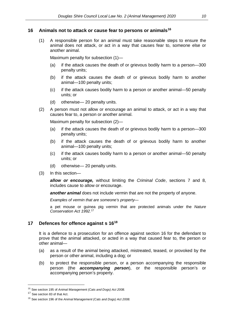#### <span id="page-9-0"></span>**16 Animals not to attack or cause fear to persons or animals[16](#page-9-2)**

(1) A responsible person for an animal must take reasonable steps to ensure the animal does not attack, or act in a way that causes fear to, someone else or another animal.

Maximum penalty for subsection (1)—

- (a) if the attack causes the death of or grievous bodily harm to a person—300 penalty units;
- (b) if the attack causes the death of or grievous bodily harm to another animal—100 penalty units;
- (c) if the attack causes bodily harm to a person or another animal—50 penalty units; or
- (d) otherwise— 20 penalty units.
- (2) A person must not allow or encourage an animal to attack, or act in a way that causes fear to, a person or another animal.

Maximum penalty for subsection (2)—

- (a) if the attack causes the death of or grievous bodily harm to a person—300 penalty units;
- (b) if the attack causes the death of or grievous bodily harm to another animal—100 penalty units;
- (c) if the attack causes bodily harm to a person or another animal—50 penalty units; or
- (d) otherwise— 20 penalty units.
- (3) In this section—

*allow or encourage,* without limiting the *Criminal Code*, sections 7 and 8, includes cause to allow or encourage.

**another animal** does not include vermin that are not the property of anyone.

*Examples of vermin that are someone's property—*

a pet mouse or guinea pig vermin that are protected animals under the *Nature Conservation Act 1992.*[17](#page-9-3)

## <span id="page-9-1"></span>**17 Defences for offence against s 16[18](#page-9-4)**

It is a defence to a prosecution for an offence against section 16 for the defendant to prove that the animal attacked, or acted in a way that caused fear to, the person or other animal—

- (a) as a result of the animal being attacked, mistreated, teased, or provoked by the person or other animal, including a dog; or
- (b) to protect the responsible person, or a person accompanying the responsible person (the *accompanying person*), or the responsible person's or accompanying person's property.

<span id="page-9-2"></span> <sup>16</sup> See section 195 of *Animal Management (Cats and Dogs) Act 2008.*

<span id="page-9-3"></span><sup>&</sup>lt;sup>17</sup> See section 83 of that Act.

<span id="page-9-4"></span><sup>18</sup> See section 196 of the *Animal Management (Cats and Dogs) Act 2008.*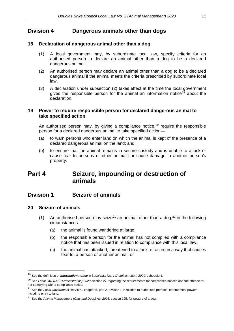## <span id="page-10-0"></span>**Division 4 Dangerous animals other than dogs**

## **18 Declaration of dangerous animal other than a dog**

- (1) A local government may, by subordinate local law, specify criteria for an authorised person to declare an animal other than a dog to be a declared dangerous animal.
- (2) An authorised person may declare an animal other than a dog to be a declared dangerous animal if the animal meets the criteria prescribed by subordinate local law.
- (3) A declaration under subsection (2) takes effect at the time the local government gives the responsible person for the animal an information notice<sup>[19](#page-10-4)</sup> about the declaration.

## <span id="page-10-1"></span>**19 Power to require responsible person for declared dangerous animal to take specified action**

An authorised person may, by giving a compliance notice,  $20$  require the responsible person for a declared dangerous animal to take specified action—

- (a) to warn persons who enter land on which the animal is kept of the presence of a declared dangerous animal on the land; and
- (b) to ensure that the animal remains in secure custody and is unable to attack or cause fear to persons or other animals or cause damage to another person's property.

#### <span id="page-10-2"></span>Part 4 **Seizure, impounding or destruction of animals**

## <span id="page-10-3"></span>**Division 1 Seizure of animals**

### **20 Seizure of animals**

- (1) An authorised person may seize<sup>[21](#page-10-6)</sup> an animal, other than a dog,  $22$  in the following circumstances—
	- (a) the animal is found wandering at large;
	- (b) the responsible person for the animal has not complied with a compliance notice that has been issued in relation to compliance with this local law;
	- (c) the animal has attacked, threatened to attack, or acted in a way that causes fear to, a person or another animal; or

<span id="page-10-4"></span><sup>19</sup> See the definition of *information notice* in *Local Law No. 1 (Administration) 2020*, schedule 1.

<span id="page-10-5"></span><sup>20</sup> See *Local Law No.1 (Administration) 2020*, section 27 regarding the requirements for compliance notices and the offence for not complying with a compliance notice.

<span id="page-10-6"></span><sup>&</sup>lt;sup>21</sup> See the *Local Government Act 2009*, chapter 5, part 2, division 1 in relation to authorised persons' enforcement powers, including entry to land.

<span id="page-10-7"></span><sup>22</sup> See the *Animal Management (Cats and Dogs) Act 2008*, section 125, for seizure of a dog.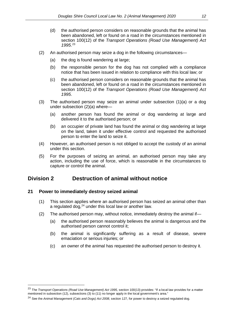- (d) the authorised person considers on reasonable grounds that the animal has been abandoned, left or found on a road in the circumstances mentioned in section 100(12) of the *Transport Operations (Road Use Management) Act 1995*. [23](#page-11-1)
- (2) An authorised person may seize a dog in the following circumstances—
	- (a) the dog is found wandering at large;
	- (b) the responsible person for the dog has not complied with a compliance notice that has been issued in relation to compliance with this local law; or
	- (c) the authorised person considers on reasonable grounds that the animal has been abandoned, left or found on a road in the circumstances mentioned in section 100(12) of the *Transport Operations (Road Use Management) Act 1995*.
- (3) The authorised person may seize an animal under subsection (1)(a) or a dog under subsection (2)(a) where—
	- (a) another person has found the animal or dog wandering at large and delivered it to the authorised person; or
	- (b) an occupier of private land has found the animal or dog wandering at large on the land, taken it under effective control and requested the authorised person to enter the land to seize it.
- (4) However, an authorised person is not obliged to accept the custody of an animal under this section.
- (5) For the purposes of seizing an animal, an authorised person may take any action, including the use of force, which is reasonable in the circumstances to capture or control the animal.

## <span id="page-11-0"></span>**Division 2 Destruction of animal without notice**

## **21 Power to immediately destroy seized animal**

- (1) This section applies where an authorised person has seized an animal other than a regulated dog,<sup>24</sup> under this local law or another law.
- (2) The authorised person may, without notice, immediately destroy the animal if—
	- (a) the authorised person reasonably believes the animal is dangerous and the authorised person cannot control it;
	- (b) the animal is significantly suffering as a result of disease, severe emaciation or serious injuries; or
	- (c) an owner of the animal has requested the authorised person to destroy it.

<span id="page-11-1"></span><sup>&</sup>lt;sup>23</sup> The *Transport Operations (Road Use Management) Act 1995*, section 100(13) provides: "If a local law provides for a matter mentioned in subsection (12), subsections (3) to (11) no longer apply in the local government's area."

<span id="page-11-2"></span><sup>24</sup> See the *Animal Management (Cats and Dogs) Act 2008*, section 127, for power to destroy a seized regulated dog.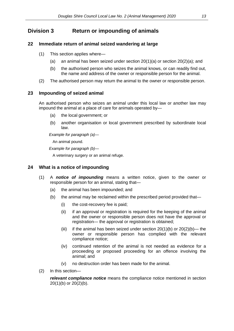# <span id="page-12-0"></span>**Division 3 Return or impounding of animals**

## **22 Immediate return of animal seized wandering at large**

- (1) This section applies where—
	- (a) an animal has been seized under section  $20(1)(a)$  or section  $20(2)(a)$ ; and
	- (b) the authorised person who seizes the animal knows, or can readily find out, the name and address of the owner or responsible person for the animal.
- (2) The authorised person may return the animal to the owner or responsible person.

## <span id="page-12-1"></span>**23 Impounding of seized animal**

An authorised person who seizes an animal under this local law or another law may impound the animal at a place of care for animals operated by—

- (a) the local government; or
- (b) another organisation or local government prescribed by subordinate local law.

*Example for paragraph (a)—*

An animal pound.

*Example for paragraph (b)—*

A veterinary surgery or an animal refuge.

## <span id="page-12-2"></span>**24 What is a notice of impounding**

- (1) A *notice of impounding* means a written notice, given to the owner or responsible person for an animal, stating that—
	- (a) the animal has been impounded; and
	- (b) the animal may be reclaimed within the prescribed period provided that—
		- (i) the cost-recovery fee is paid;
		- (ii) if an approval or registration is required for the keeping of the animal and the owner or responsible person does not have the approval or registration— the approval or registration is obtained;
		- (iii) if the animal has been seized under section  $20(1)(b)$  or  $20(2)(b)$  the owner or responsible person has complied with the relevant compliance notice;
		- (iv) continued retention of the animal is not needed as evidence for a proceeding or proposed proceeding for an offence involving the animal; and
		- (v) no destruction order has been made for the animal.
- (2) In this section—

*relevant compliance notice* means the compliance notice mentioned in section 20(1)(b) or 20(2)(b).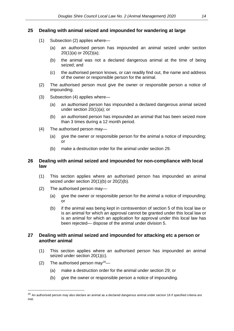## <span id="page-13-0"></span>**25 Dealing with animal seized and impounded for wandering at large**

- (1) Subsection (2) applies where—
	- (a) an authorised person has impounded an animal seized under section 20(1)(a) or 20(2)(a);
	- (b) the animal was not a declared dangerous animal at the time of being seized; and
	- (c) the authorised person knows, or can readily find out, the name and address of the owner or responsible person for the animal.
- (2) The authorised person must give the owner or responsible person a notice of impounding.
- (3) Subsection (4) applies where—
	- (a) an authorised person has impounded a declared dangerous animal seized under section 20(1)(a); or
	- (b) an authorised person has impounded an animal that has been seized more than 3 times during a 12 month period.
- (4) The authorised person may—
	- (a) give the owner or responsible person for the animal a notice of impounding; or
	- (b) make a destruction order for the animal under section 29.

## <span id="page-13-1"></span>**26 Dealing with animal seized and impounded for non-compliance with local law**

- (1) This section applies where an authorised person has impounded an animal seized under section 20(1)(b) or 20(2)(b).
- (2) The authorised person may—
	- (a) give the owner or responsible person for the animal a notice of impounding; or
	- (b) if the animal was being kept in contravention of section 5 of this local law or is an animal for which an approval cannot be granted under this local law or is an animal for which an application for approval under this local law has been rejected— dispose of the animal under division 5.

## <span id="page-13-2"></span>**27 Dealing with animal seized and impounded for attacking etc a person or another animal**

- (1) This section applies where an authorised person has impounded an animal seized under section 20(1)(c).
- (2) The authorised person may  $25-$

- (a) make a destruction order for the animal under section 29; or
- (b) give the owner or responsible person a notice of impounding.

<span id="page-13-3"></span><sup>&</sup>lt;sup>25</sup> An authorised person may also declare an animal as a declared dangerous animal under section 18 if specified criteria are met.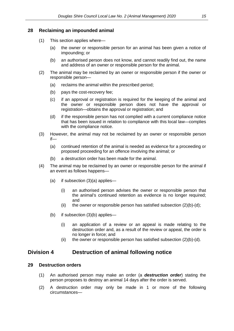## <span id="page-14-0"></span>**28 Reclaiming an impounded animal**

- (1) This section applies where—
	- (a) the owner or responsible person for an animal has been given a notice of impounding; or
	- (b) an authorised person does not know, and cannot readily find out, the name and address of an owner or responsible person for the animal.
- (2) The animal may be reclaimed by an owner or responsible person if the owner or responsible person—
	- (a) reclaims the animal within the prescribed period;
	- (b) pays the cost-recovery fee;
	- (c) if an approval or registration is required for the keeping of the animal and the owner or responsible person does not have the approval or registration—obtains the approval or registration; and
	- (d) if the responsible person has not complied with a current compliance notice that has been issued in relation to compliance with this local law—complies with the compliance notice.
- (3) However, the animal may not be reclaimed by an owner or responsible person if—
	- (a) continued retention of the animal is needed as evidence for a proceeding or proposed proceeding for an offence involving the animal; or
	- (b) a destruction order has been made for the animal.
- (4) The animal may be reclaimed by an owner or responsible person for the animal if an event as follows happens—
	- (a) if subsection (3)(a) applies—
		- (i) an authorised person advises the owner or responsible person that the animal's continued retention as evidence is no longer required; and
		- (ii) the owner or responsible person has satisfied subsection  $(2)(b)-(d)$ ;
	- (b) if subsection (3)(b) applies—
		- (i) an application of a review or an appeal is made relating to the destruction order and, as a result of the review or appeal, the order is no longer in force; and
		- (ii) the owner or responsible person has satisfied subsection  $(2)(b)-(d)$ .

## <span id="page-14-1"></span>**Division 4 Destruction of animal following notice**

### **29 Destruction orders**

- (1) An authorised person may make an order (a *destruction order*) stating the person proposes to destroy an animal 14 days after the order is served.
- (2) A destruction order may only be made in 1 or more of the following circumstances—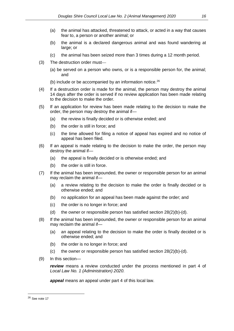- (a) the animal has attacked, threatened to attack, or acted in a way that causes fear to, a person or another animal; or
- (b) the animal is a declared dangerous animal and was found wandering at large; or
- (c) the animal has been seized more than 3 times during a 12 month period.
- (3) The destruction order must—
	- (a) be served on a person who owns, or is a responsible person for, the animal; and
	- (b) include or be accompanied by an information notice. $^{26}$  $^{26}$  $^{26}$
- (4) If a destruction order is made for the animal, the person may destroy the animal 14 days after the order is served if no review application has been made relating to the decision to make the order.
- (5) If an application for review has been made relating to the decision to make the order, the person may destroy the animal if—
	- (a) the review is finally decided or is otherwise ended; and
	- (b) the order is still in force; and
	- (c) the time allowed for filing a notice of appeal has expired and no notice of appeal has been filed.
- (6) If an appeal is made relating to the decision to make the order, the person may destroy the animal if—
	- (a) the appeal is finally decided or is otherwise ended; and
	- (b) the order is still in force.
- (7) If the animal has been impounded, the owner or responsible person for an animal may reclaim the animal if—
	- (a) a review relating to the decision to make the order is finally decided or is otherwise ended; and
	- (b) no application for an appeal has been made against the order; and
	- (c) the order is no longer in force; and
	- (d) the owner or responsible person has satisfied section  $28(2)(b)-(d)$ .
- (8) If the animal has been impounded, the owner or responsible person for an animal may reclaim the animal if—
	- (a) an appeal relating to the decision to make the order is finally decided or is otherwise ended; and
	- (b) the order is no longer in force; and
	- (c) the owner or responsible person has satisfied section  $28(2)(b)-(d)$ .
- (9) In this section—

*review* means a review conducted under the process mentioned in part 4 of *Local Law No. 1 (Administration) 2020.*

*appeal* means an appeal under part 4 of this local law.

<span id="page-15-0"></span><sup>26</sup> See note 17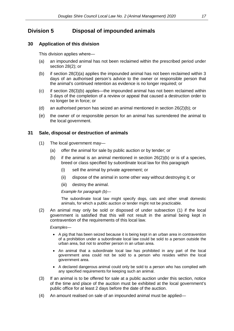# <span id="page-16-0"></span>**Division 5 Disposal of impounded animals**

## **30 Application of this division**

This division applies where—

- (a) an impounded animal has not been reclaimed within the prescribed period under section 28(2); or
- (b) if section 28(3)(a) applies the impounded animal has not been reclaimed within 3 days of an authorised person's advice to the owner or responsible person that the animal's continued retention as evidence is no longer required; or
- (c) if section 28(3)(b) applies—the impounded animal has not been reclaimed within 3 days of the completion of a review or appeal that caused a destruction order to no longer be in force; or
- (d) an authorised person has seized an animal mentioned in section 26(2)(b); or
- (e) the owner of or responsible person for an animal has surrendered the animal to the local government.

## <span id="page-16-1"></span>**31 Sale, disposal or destruction of animals**

- (1) The local government may—
	- (a) offer the animal for sale by public auction or by tender; or
	- (b) if the animal is an animal mentioned in section  $26(2)(b)$  or is of a species, breed or class specified by subordinate local law for this paragraph
		- (i) sell the animal by private agreement; or
		- (ii) dispose of the animal in some other way without destroying it; or
		- (iii) destroy the animal.

*Example for paragraph (b)—*

The subordinate local law might specify dogs, cats and other small domestic animals, for which a public auction or tender might not be practicable.

(2) An animal may only be sold or disposed of under subsection (1) if the local government is satisfied that this will not result in the animal being kept in contravention of the requirements of this local law.

*Examples—*

- A pig that has been seized because it is being kept in an urban area in contravention of a prohibition under a subordinate local law could be sold to a person outside the urban area, but not to another person in an urban area.
- An animal that a subordinate local law has prohibited in any part of the local government area could not be sold to a person who resides within the local government area.
- A declared dangerous animal could only be sold to a person who has complied with any specified requirements for keeping such an animal.
- (3) If an animal is to be offered for sale at a public auction under this section, notice of the time and place of the auction must be exhibited at the local government's public office for at least 2 days before the date of the auction.
- (4) An amount realised on sale of an impounded animal must be applied—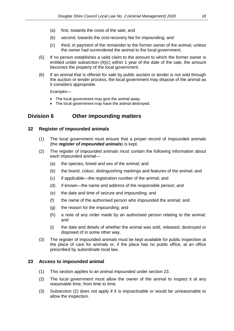- (a) first, towards the costs of the sale; and
- (b) second, towards the cost-recovery fee for impounding; and
- (c) third, in payment of the remainder to the former owner of the animal, unless the owner had surrendered the animal to the local government.
- (5) If no person establishes a valid claim to the amount to which the former owner is entitled under subsection (4)(c) within 1 year of the date of the sale, the amount becomes the property of the local government.
- (6) If an animal that is offered for sale by public auction or tender is not sold through the auction or tender process, the local government may dispose of the animal as it considers appropriate.

*Examples—*

- The local government may give the animal away.
- The local government may have the animal destroyed.

## <span id="page-17-0"></span>**Division 6 Other impounding matters**

## **32 Register of impounded animals**

- (1) The local government must ensure that a proper record of impounded animals (the *register of impounded animals*) is kept.
- (2) The register of impounded animals must contain the following information about each impounded animal—
	- (a) the species, breed and sex of the animal; and
	- (b) the brand, colour, distinguishing markings and features of the animal; and
	- (c) if applicable—the registration number of the animal; and
	- (d) if known—the name and address of the responsible person; and
	- (e) the date and time of seizure and impounding; and
	- (f) the name of the authorised person who impounded the animal; and
	- (g) the reason for the impounding; and
	- (h) a note of any order made by an authorised person relating to the animal; and
	- (i) the date and details of whether the animal was sold, released, destroyed or disposed of in some other way.
- (3) The register of impounded animals must be kept available for public inspection at the place of care for animals or, if the place has no public office, at an office prescribed by subordinate local law.

### <span id="page-17-1"></span>**33 Access to impounded animal**

- (1) This section applies to an animal impounded under section 23.
- (2) The local government must allow the owner of the animal to inspect it at any reasonable time, from time to time.
- (3) Subsection (2) does not apply if it is impracticable or would be unreasonable to allow the inspection.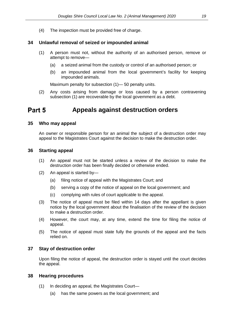(4) The inspection must be provided free of charge.

## <span id="page-18-0"></span>**34 Unlawful removal of seized or impounded animal**

- (1) A person must not, without the authority of an authorised person, remove or attempt to remove—
	- (a) a seized animal from the custody or control of an authorised person; or
	- (b) an impounded animal from the local government's facility for keeping impounded animals.

Maximum penalty for subsection (1)— 50 penalty units.

(2) Any costs arising from damage or loss caused by a person contravening subsection (1) are recoverable by the local government as a debt.

#### <span id="page-18-2"></span><span id="page-18-1"></span>Part 5 **Appeals against destruction orders**

#### **35 Who may appeal**

An owner or responsible person for an animal the subject of a destruction order may appeal to the Magistrates Court against the decision to make the destruction order.

#### <span id="page-18-3"></span>**36 Starting appeal**

- (1) An appeal must not be started unless a review of the decision to make the destruction order has been finally decided or otherwise ended.
- (2) An appeal is started by—
	- (a) filing notice of appeal with the Magistrates Court; and
	- (b) serving a copy of the notice of appeal on the local government; and
	- (c) complying with rules of court applicable to the appeal.
- (3) The notice of appeal must be filed within 14 days after the appellant is given notice by the local government about the finalisation of the review of the decision to make a destruction order.
- (4) However, the court may, at any time, extend the time for filing the notice of appeal.
- (5) The notice of appeal must state fully the grounds of the appeal and the facts relied on.

#### <span id="page-18-4"></span>**37 Stay of destruction order**

Upon filing the notice of appeal, the destruction order is stayed until the court decides the appeal.

#### <span id="page-18-5"></span>**38 Hearing procedures**

- (1) In deciding an appeal, the Magistrates Court—
	- (a) has the same powers as the local government; and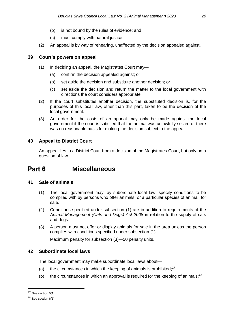- (b) is not bound by the rules of evidence; and
- (c) must comply with natural justice.
- (2) An appeal is by way of rehearing, unaffected by the decision appealed against.

## <span id="page-19-0"></span>**39 Court's powers on appeal**

- (1) In deciding an appeal, the Magistrates Court may—
	- (a) confirm the decision appealed against; or
	- (b) set aside the decision and substitute another decision; or
	- (c) set aside the decision and return the matter to the local government with directions the court considers appropriate.
- (2) If the court substitutes another decision, the substituted decision is, for the purposes of this local law, other than this part, taken to be the decision of the local government.
- (3) An order for the costs of an appeal may only be made against the local government if the court is satisfied that the animal was unlawfully seized or there was no reasonable basis for making the decision subject to the appeal.

## <span id="page-19-1"></span>**40 Appeal to District Court**

An appeal lies to a District Court from a decision of the Magistrates Court, but only on a question of law.

#### <span id="page-19-3"></span><span id="page-19-2"></span>Part 6 **Miscellaneous**

## **41 Sale of animals**

- (1) The local government may, by subordinate local law, specify conditions to be complied with by persons who offer animals, or a particular species of animal, for sale.
- (2) Conditions specified under subsection (1) are in addition to requirements of the *Animal Management (Cats and Dogs) Act 2008* in relation to the supply of cats and dogs.
- (3) A person must not offer or display animals for sale in the area unless the person complies with conditions specified under subsection (1).

Maximum penalty for subsection (3)—50 penalty units.

## <span id="page-19-4"></span>**42 Subordinate local laws**

The local government may make subordinate local laws about—

- (a) the circumstances in which the keeping of animals is prohibited; $27$
- (b) the circumstances in which an approval is required for the keeping of animals;<sup>28</sup>

<span id="page-19-5"></span> $27$  See section 5(1).

<span id="page-19-6"></span> $28$  See section 6(1).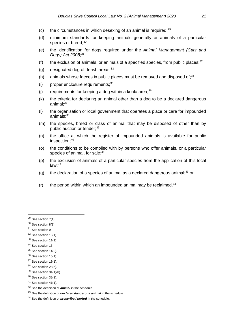- (c) the circumstances in which desexing of an animal is required; $29$
- (d) minimum standards for keeping animals generally or animals of a particular species or breed;<sup>30</sup>
- (e) the identification for dogs required under the *Animal Management (Cats and Dogs) Act 2008*; [31](#page-20-2)
- (f) the exclusion of animals, or animals of a specified species, from public places; $32$
- (g) designated dog off-leash areas; $33$
- (h) animals whose faeces in public places must be removed and disposed of: $34$
- $(i)$  proper enclosure requirements:  $35$
- (i) requirements for keeping a dog within a koala area; $36$
- (k) the criteria for declaring an animal other than a dog to be a declared dangerous animal: $37$
- (l) the organisation or local government that operates a place or care for impounded  $anima<sub>is</sub>$ ; $38$
- (m) the species, breed or class of animal that may be disposed of other than by public auction or tender;<sup>[39](#page-20-10)</sup>
- (n) the office at which the register of impounded animals is available for public inspection;<sup>40</sup>
- (o) the conditions to be complied with by persons who offer animals, or a particular species of animal, for sale:<sup>[41](#page-20-12)</sup>
- (p) the exclusion of animals of a particular species from the application of this local  $law: <sup>42</sup>$  $law: <sup>42</sup>$  $law: <sup>42</sup>$
- (q) the declaration of a species of animal as a declared dangerous animal;<sup>[43](#page-20-14)</sup> or
- $(r)$  the period within which an impounded animal may be reclaimed.<sup>44</sup>

 $\overline{a}$ 

- <span id="page-20-2"></span><sup>31</sup> See section 9.
- <span id="page-20-3"></span> $32$  See section 10(1).
- <span id="page-20-4"></span> $33$  See section 11(1)
- <span id="page-20-5"></span><sup>34</sup> See section 13

<span id="page-20-9"></span><sup>38</sup> See section 23(b).

<span id="page-20-0"></span> $29$  See section 7(1).

<span id="page-20-1"></span><sup>30</sup> See section 8(1).

<span id="page-20-6"></span> $35$  See section 14(2).

<span id="page-20-7"></span> $36$  See section 15(1).

<span id="page-20-8"></span> $37$  See section 18(1).

<span id="page-20-10"></span> $39$  See section 31(1)(b).

<span id="page-20-11"></span> $40$  See section 32(3).

<span id="page-20-12"></span> $41$  See section 41(1).

<span id="page-20-13"></span><sup>42</sup> See the definition of *animal* in the schedule.

<span id="page-20-14"></span><sup>43</sup> See the definition of *declared dangerous animal* in the schedule.

<span id="page-20-15"></span><sup>44</sup> See the definition of *prescribed period* in the schedule.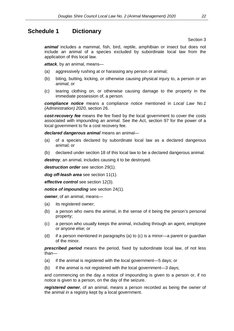# <span id="page-21-0"></span>**Schedule 1 Dictionary**

### Section 3

*animal* includes a mammal, fish, bird, reptile, amphibian or insect but does not include an animal of a species excluded by subordinate local law from the application of this local law.

*attack,* by an animal, means—

- (a) aggressively rushing at or harassing any person or animal;
- (b) biting, butting, kicking, or otherwise causing physical injury to, a person or an animal; or
- (c) tearing clothing on, or otherwise causing damage to the property in the immediate possession of, a person.

*compliance notice* means a compliance notice mentioned in *Local Law No.1 (Administration) 2020*, section 26.

*cost-recovery fee* means the fee fixed by the local government to cover the costs associated with impounding an animal. See the Act, section 97 for the power of a local government to fix a cost recovery fee.

*declared dangerous animal* means an animal—

- (a) of a species declared by subordinate local law as a declared dangerous animal; or
- (b) declared under section 18 of this local law to be a declared dangerous animal.

*destroy*, an animal, includes causing it to be destroyed.

*destruction order* see section 29(1).

*dog off-leash area* see section 11(1).

*effective control* see section 12(3).

*notice of impounding* see section 24(1).

*owner*, of an animal, means—

- (a) its registered owner;
- (b) a person who owns the animal, in the sense of it being the person's personal property;
- (c) a person who usually keeps the animal, including through an agent, employee or anyone else; or
- (d) if a person mentioned in paragraphs (a) to (c) is a minor—a parent or guardian of the minor.

*prescribed period* means the period, fixed by subordinate local law, of not less than—

- (a) if the animal is registered with the local government—5 days; or
- (b) if the animal is not registered with the local government—3 days;

and commencing on the day a notice of impounding is given to a person or, if no notice is given to a person, on the day of the seizure.

*registered owner*, of an animal, means a person recorded as being the owner of the animal in a registry kept by a local government.